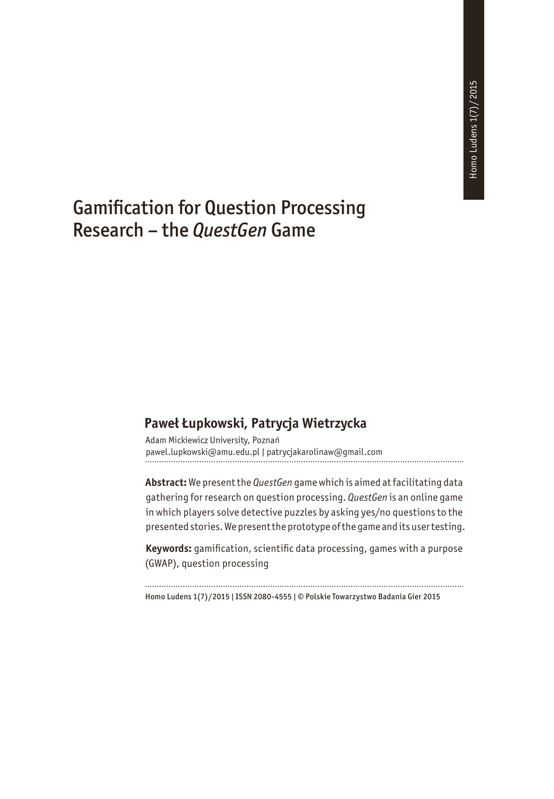. . . . . . . .

# Gamification for Question Processing Research – the *QuestGen* Game

### **Paweł Łupkowski, Patrycja Wietrzycka**

Adam Mickiewicz University, Poznań pawel.lupkowski@amu.edu.pl | patrycjakarolinaw@gmail.com

**Abstract:** We present the *QuestGen* game which is aimed at facilitating data gathering for research on question processing. *QuestGen* is an online game in which players solve detective puzzles by asking yes/no questions to the presented stories. We present the prototype of the game and its user testing.

**Keywords:** gamification, scientific data processing, games with a purpose (GWAP), question processing

Homo Ludens 1(7)/2015 | ISSN 2080-4555 | © Polskie Towarzystwo Badania Gier 2015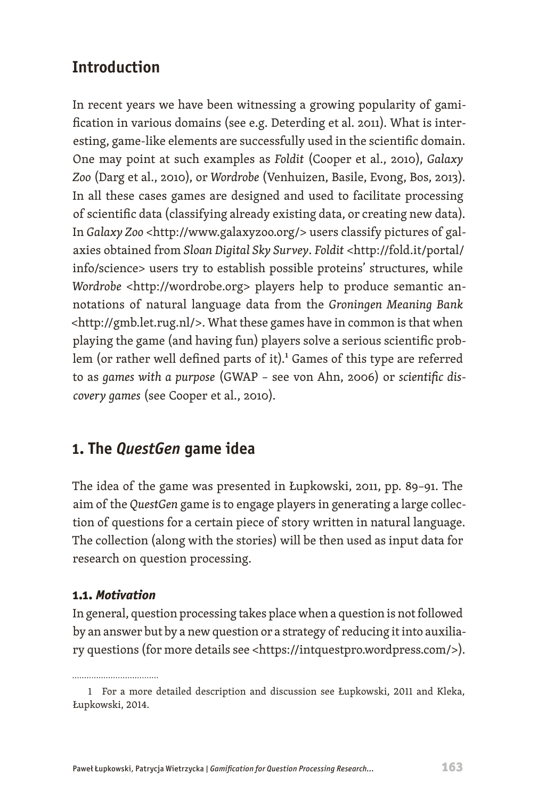## **Introduction**

In recent years we have been witnessing a growing popularity of gamification in various domains (see e.g. Deterding et al. 2011). What is interesting, game-like elements are successfully used in the scientific domain. One may point at such examples as *Foldit* (Cooper et al., 2010), *Galaxy Zoo* (Darg et al., 2010), or *Wordrobe* (Venhuizen, Basile, Evong, Bos, 2013). In all these cases games are designed and used to facilitate processing of scientific data (classifying already existing data, or creating new data). In *Galaxy Zoo* [<http://www.galaxyzoo.org/](http://www.galaxyzoo.org/)> users classify pictures of galaxies obtained from *Sloan Digital Sky Survey*. *Foldit* <[http://fold.it/portal/](http://fold.it/portal/info/science) [info/science>](http://fold.it/portal/info/science) users try to establish possible proteins' structures, while *Wordrobe* [<http://wordrobe.org>](http://wordrobe.org/) players help to produce semantic annotations of natural language data from the *Groningen Meaning Bank* <[http://gmb.let.rug.nl/>](http://gmb.let.rug.nl/). What these games have in common is that when playing the game (and having fun) players solve a serious scientific problem (or rather well defined parts of it).<sup>1</sup> Games of this type are referred to as *games with a purpose* (GWAP – see von Ahn, 2006) or *scientific discovery games* (see Cooper et al., 2010).

## **1. The** *QuestGen* **game idea**

The idea of the game was presented in Łupkowski, 2011, pp. 89–91. The aim of the *QuestGen* game is to engage players in generating a large collection of questions for a certain piece of story written in natural language. The collection (along with the stories) will be then used as input data for research on question processing.

### **1.1.** *Motivation*

In general, question processing takes place when a question is not followed by an answer but by a new question or a strategy of reducing it into auxiliary questions (for more details see <https://intquestpro.wordpress.com/>).

<sup>1</sup> For a more detailed description and discussion see Łupkowski, 2011 and Kleka, Łupkowski, 2014.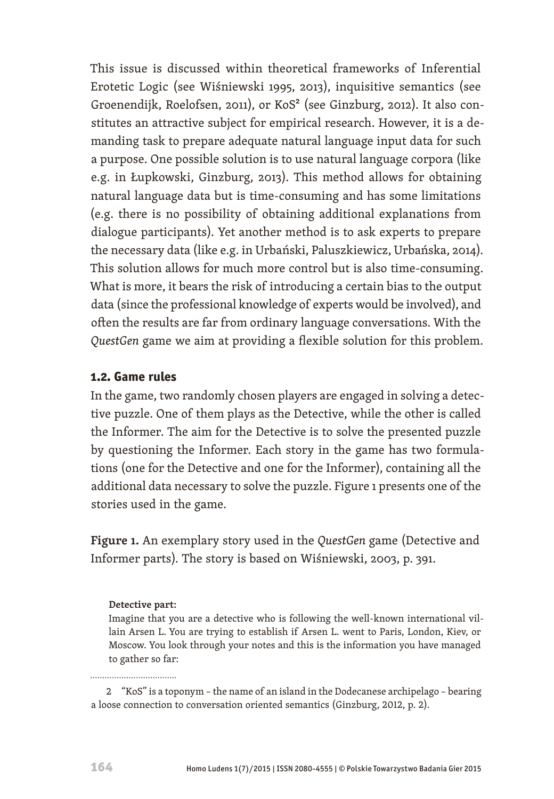This issue is discussed within theoretical frameworks of Inferential Erotetic Logic (see Wiśniewski 1995, 2013), inquisitive semantics (see Groenendijk, Roelofsen, 2011), or KoS<sup>2</sup> (see Ginzburg, 2012). It also constitutes an attractive subject for empirical research. However, it is a demanding task to prepare adequate natural language input data for such a purpose. One possible solution is to use natural language corpora (like e.g. in Łupkowski, Ginzburg, 2013). This method allows for obtaining natural language data but is time-consuming and has some limitations (e.g. there is no possibility of obtaining additional explanations from dialogue participants). Yet another method is to ask experts to prepare the necessary data (like e.g. in Urbański, Paluszkiewicz, Urbańska, 2014). This solution allows for much more control but is also time-consuming. What is more, it bears the risk of introducing a certain bias to the output data (since the professional knowledge of experts would be involved), and often the results are far from ordinary language conversations. With the *QuestGen* game we aim at providing a flexible solution for this problem.

#### **1.2. Game rules**

In the game, two randomly chosen players are engaged in solving a detective puzzle. One of them plays as the Detective, while the other is called the Informer. The aim for the Detective is to solve the presented puzzle by questioning the Informer. Each story in the game has two formulations (one for the Detective and one for the Informer), containing all the additional data necessary to solve the puzzle. Figure 1 presents one of the stories used in the game.

**Figure 1.** An exemplary story used in the *QuestGen* game (Detective and Informer parts). The story is based on Wiśniewski, 2003, p. 391.

#### **Detective part:**

Imagine that you are a detective who is following the well-known international villain Arsen L. You are trying to establish if Arsen L. went to Paris, London, Kiev, or Moscow. You look through your notes and this is the information you have managed to gather so far:

2 "KoS" is a toponym – the name of an island in the Dodecanese archipelago – bearing a loose connection to conversation oriented semantics (Ginzburg, 2012, p. 2).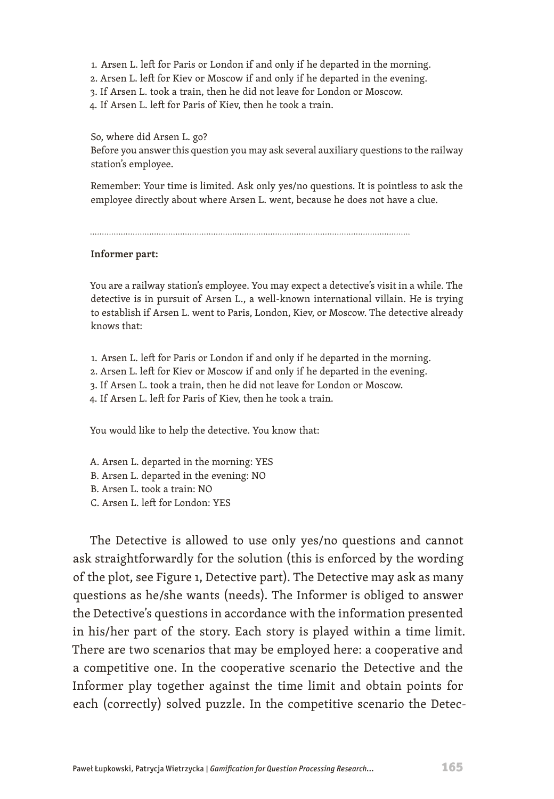- 1.  Arsen L. left for Paris or London if and only if he departed in the morning.
- 2. Arsen L. left for Kiev or Moscow if and only if he departed in the evening.
- 3. If Arsen L. took a train, then he did not leave for London or Moscow.
- 4. If Arsen L. left for Paris of Kiev, then he took a train.

So, where did Arsen L. go? Before you answer this question you may ask several auxiliary questions to the railway station's employee.

Remember: Your time is limited. Ask only yes/no questions. It is pointless to ask the employee directly about where Arsen L. went, because he does not have a clue.

#### **Informer part:**

You are a railway station's employee. You may expect a detective's visit in a while. The detective is in pursuit of Arsen L., a well-known international villain. He is trying to establish if Arsen L. went to Paris, London, Kiev, or Moscow. The detective already knows that:

- 1.  Arsen L. left for Paris or London if and only if he departed in the morning.
- 2. Arsen L. left for Kiev or Moscow if and only if he departed in the evening.
- 3. If Arsen L. took a train, then he did not leave for London or Moscow.
- 4. If Arsen L. left for Paris of Kiev, then he took a train.

You would like to help the detective. You know that:

- A. Arsen L. departed in the morning: YES
- B. Arsen L. departed in the evening: NO
- B. Arsen L. took a train: NO
- C. Arsen L. left for London: YES

The Detective is allowed to use only yes/no questions and cannot ask straightforwardly for the solution (this is enforced by the wording of the plot, see Figure 1, Detective part). The Detective may ask as many questions as he/she wants (needs). The Informer is obliged to answer the Detective's questions in accordance with the information presented in his/her part of the story. Each story is played within a time limit. There are two scenarios that may be employed here: a cooperative and a competitive one. In the cooperative scenario the Detective and the Informer play together against the time limit and obtain points for each (correctly) solved puzzle. In the competitive scenario the Detec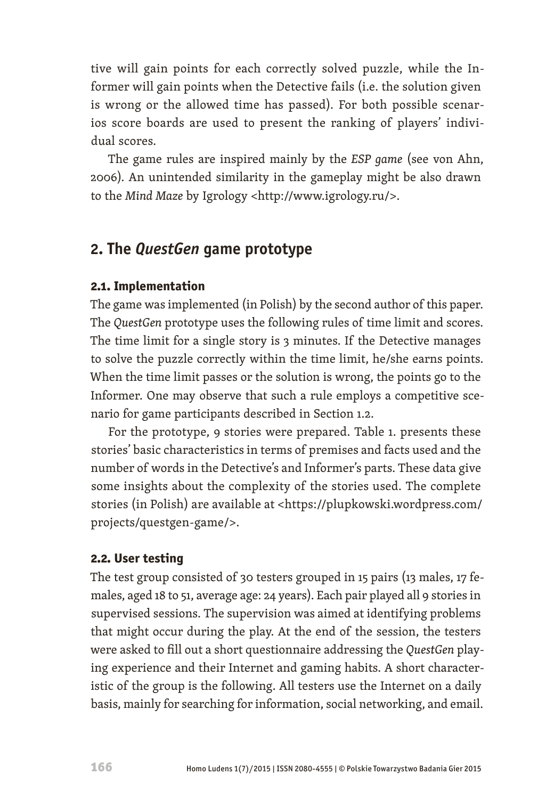tive will gain points for each correctly solved puzzle, while the Informer will gain points when the Detective fails (i.e. the solution given is wrong or the allowed time has passed). For both possible scenarios score boards are used to present the ranking of players' individual scores.

The game rules are inspired mainly by the *ESP game* (see von Ahn, 2006). An unintended similarity in the gameplay might be also drawn to the *Mind Maze* by Igrology <<http://www.igrology.ru/>>.

## **2. The** *QuestGen* **game prototype**

### **2.1. Implementation**

The game was implemented (in Polish) by the second author of this paper. The *QuestGen* prototype uses the following rules of time limit and scores. The time limit for a single story is 3 minutes. If the Detective manages to solve the puzzle correctly within the time limit, he/she earns points. When the time limit passes or the solution is wrong, the points go to the Informer. One may observe that such a rule employs a competitive scenario for game participants described in Section 1.2.

For the prototype, 9 stories were prepared. Table 1. presents these stories' basic characteristics in terms of premises and facts used and the number of words in the Detective's and Informer's parts. These data give some insights about the complexity of the stories used. The complete stories (in Polish) are available at <https://plupkowski.wordpress.com/ projects/questgen-game/>.

### **2.2. User testing**

The test group consisted of 30 testers grouped in 15 pairs (13 males, 17 females, aged 18 to 51, average age: 24 years). Each pair played all 9 stories in supervised sessions. The supervision was aimed at identifying problems that might occur during the play. At the end of the session, the testers were asked to fill out a short questionnaire addressing the *QuestGen* playing experience and their Internet and gaming habits. A short characteristic of the group is the following. All testers use the Internet on a daily basis, mainly for searching for information, social networking, and email.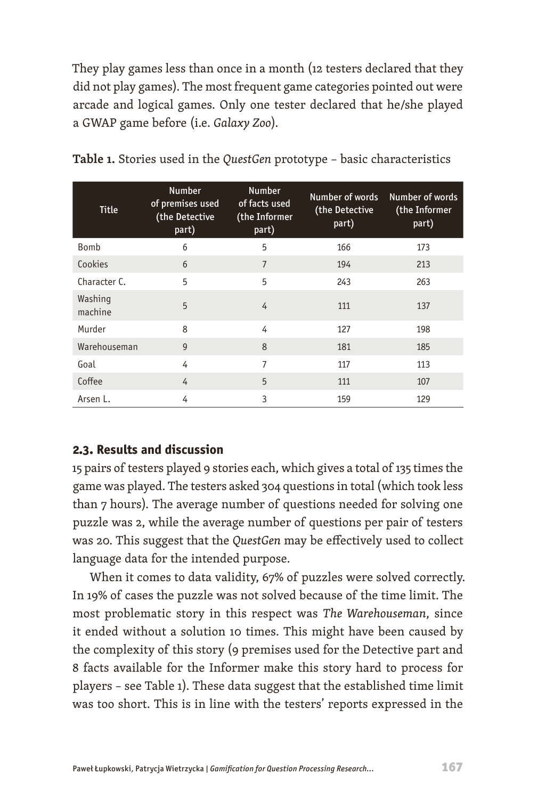They play games less than once in a month (12 testers declared that they did not play games). The most frequent game categories pointed out were arcade and logical games. Only one tester declared that he/she played a GWAP game before (i.e. *Galaxy Zoo*).

| <b>Title</b>       | <b>Number</b><br>of premises used<br>(the Detective<br>part) | <b>Number</b><br>of facts used<br>(the Informer<br>part) | Number of words<br>(the Detective<br>part) | Number of words<br>(the Informer<br>part) |
|--------------------|--------------------------------------------------------------|----------------------------------------------------------|--------------------------------------------|-------------------------------------------|
| Bomb               | 6                                                            | 5                                                        | 166                                        | 173                                       |
| Cookies            | 6                                                            | $\overline{7}$                                           | 194                                        | 213                                       |
| Character C.       | 5                                                            | 5                                                        | 243                                        | 263                                       |
| Washing<br>machine | 5                                                            | $\overline{4}$                                           | 111                                        | 137                                       |
| Murder             | 8                                                            | 4                                                        | 127                                        | 198                                       |
| Warehouseman       | $\overline{9}$                                               | 8                                                        | 181                                        | 185                                       |
| Goal               | 4                                                            | 7                                                        | 117                                        | 113                                       |
| Coffee             | 4                                                            | 5                                                        | 111                                        | 107                                       |
| Arsen L.           | 4                                                            | 3                                                        | 159                                        | 129                                       |

| Table 1. Stories used in the QuestGen prototype - basic characteristics |  |
|-------------------------------------------------------------------------|--|
|-------------------------------------------------------------------------|--|

#### **2.3. Results and discussion**

15 pairs of testers played 9 stories each, which gives a total of 135 times the game was played. The testers asked 304 questions in total (which took less than 7 hours). The average number of questions needed for solving one puzzle was 2, while the average number of questions per pair of testers was 20. This suggest that the *QuestGen* may be effectively used to collect language data for the intended purpose.

When it comes to data validity, 67% of puzzles were solved correctly. In 19% of cases the puzzle was not solved because of the time limit. The most problematic story in this respect was *The Warehouseman*, since it ended without a solution 10 times. This might have been caused by the complexity of this story (9 premises used for the Detective part and 8 facts available for the Informer make this story hard to process for players – see Table 1). These data suggest that the established time limit was too short. This is in line with the testers' reports expressed in the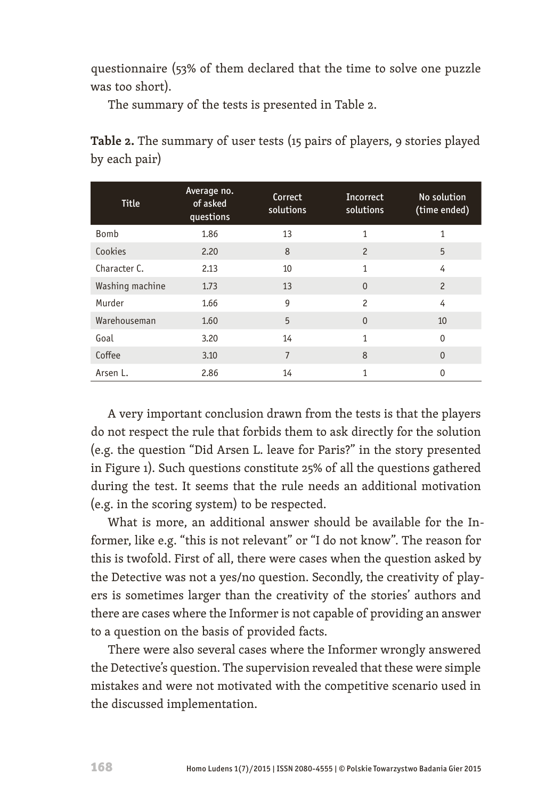questionnaire (53% of them declared that the time to solve one puzzle was too short).

The summary of the tests is presented in Table 2.

**Table 2.** The summary of user tests (15 pairs of players, 9 stories played by each pair)

| <b>Title</b>    | Average no.<br>of asked<br>questions | Correct<br>solutions | Incorrect<br>solutions | No solution<br>(time ended) |
|-----------------|--------------------------------------|----------------------|------------------------|-----------------------------|
| Bomb            | 1.86                                 | 13                   | $\mathbf{1}$           | 1                           |
| Cookies         | 2.20                                 | 8                    | $\overline{c}$         | 5                           |
| Character C.    | 2.13                                 | 10                   | $\mathbf{1}$           | 4                           |
| Washing machine | 1.73                                 | 13                   | $\Omega$               | 2                           |
| Murder          | 1.66                                 | 9                    | $\overline{c}$         | 4                           |
| Warehouseman    | 1.60                                 | 5                    | $\mathbf{0}$           | 10                          |
| Goal            | 3.20                                 | 14                   | $\mathbf{1}$           | $\Omega$                    |
| Coffee          | 3.10                                 | $\overline{7}$       | 8                      | $\Omega$                    |
| Arsen L.        | 2.86                                 | 14                   | $\mathbf{1}$           | 0                           |

A very important conclusion drawn from the tests is that the players do not respect the rule that forbids them to ask directly for the solution (e.g. the question "Did Arsen L. leave for Paris?" in the story presented in Figure 1). Such questions constitute 25% of all the questions gathered during the test. It seems that the rule needs an additional motivation (e.g. in the scoring system) to be respected.

What is more, an additional answer should be available for the Informer, like e.g. "this is not relevant" or "I do not know". The reason for this is twofold. First of all, there were cases when the question asked by the Detective was not a yes/no question. Secondly, the creativity of players is sometimes larger than the creativity of the stories' authors and there are cases where the Informer is not capable of providing an answer to a question on the basis of provided facts.

There were also several cases where the Informer wrongly answered the Detective's question. The supervision revealed that these were simple mistakes and were not motivated with the competitive scenario used in the discussed implementation.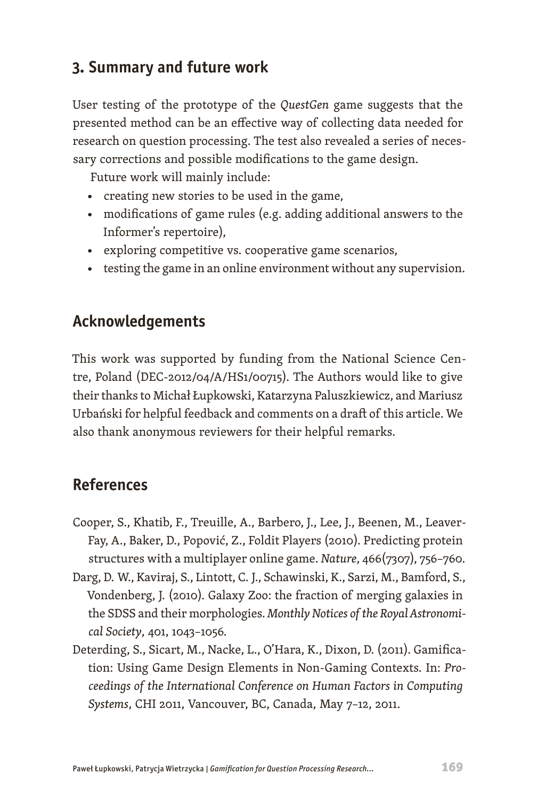## **3. Summary and future work**

User testing of the prototype of the *QuestGen* game suggests that the presented method can be an effective way of collecting data needed for research on question processing. The test also revealed a series of necessary corrections and possible modifications to the game design.

Future work will mainly include:

- creating new stories to be used in the game,
- modifications of game rules (e.g. adding additional answers to the Informer's repertoire),
- exploring competitive vs. cooperative game scenarios,
- testing the game in an online environment without any supervision.

## **Acknowledgements**

This work was supported by funding from the National Science Centre, Poland (DEC-2012/04/A/HS1/00715). The Authors would like to give their thanks to Michał Łupkowski, Katarzyna Paluszkiewicz, and Mariusz Urbański for helpful feedback and comments on a draft of this article. We also thank anonymous reviewers for their helpful remarks.

## **References**

- Cooper, S., Khatib, F., Treuille, A., Barbero, J., Lee, J., Beenen, M., Leaver-Fay, A., Baker, D., Popović, Z., Foldit Players (2010). Predicting protein structures with a multiplayer online game. *Nature*, 466(7307), 756–760.
- Darg, D. W., Kaviraj, S., Lintott, C. J., Schawinski, K., Sarzi, M., Bamford, S., Vondenberg, J. (2010). Galaxy Zoo: the fraction of merging galaxies in the SDSS and their morphologies. *Monthly Notices of the Royal Astronomical Society*, 401, 1043–1056.
- Deterding, S., Sicart, M., Nacke, L., O'Hara, K., Dixon, D. (2011). Gamification: Using Game Design Elements in Non-Gaming Contexts. In: *Proceedings of the International Conference on Human Factors in Computing Systems*, CHI 2011, Vancouver, BC, Canada, May 7–12, 2011.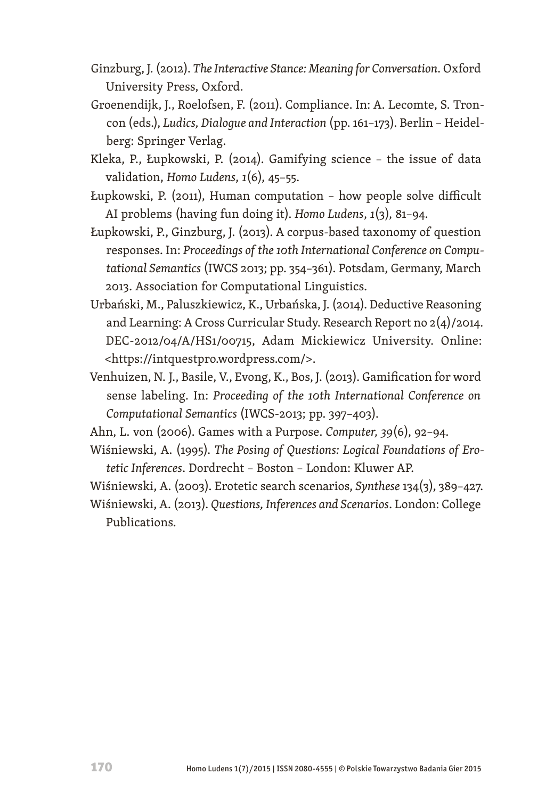- Ginzburg, J. (2012). *The Interactive Stance: Meaning for Conversation*. Oxford University Press, Oxford.
- Groenendijk, J., Roelofsen, F. (2011). Compliance. In: A. Lecomte, S. Troncon (eds.), *Ludics, Dialogue and Interaction* (pp. 161–173). Berlin – Heidelberg: Springer Verlag.
- Kleka, P., Łupkowski, P. (2014). Gamifying science the issue of data validation, *Homo Ludens*, *1*(6), 45–55.
- Łupkowski, P. (2011), Human computation how people solve difficult AI problems (having fun doing it). *Homo Ludens*, *1*(3), 81–94.
- Łupkowski, P., Ginzburg, J. (2013). A corpus-based taxonomy of question responses. In: *Proceedings of the 10th International Conference on Computational Semantics* (IWCS 2013; pp. 354–361). Potsdam, Germany, March 2013. Association for Computational Linguistics.
- Urbański, M., Paluszkiewicz, K., Urbańska, J. (2014). Deductive Reasoning and Learning: A Cross Curricular Study. Research Report no 2(4)/2014. DEC-2012/04/A/HS1/00715, Adam Mickiewicz University. Online: <https://intquestpro.wordpress.com/>.
- Venhuizen, N. J., Basile, V., Evong, K., Bos, J. (2013). Gamification for word sense labeling. In: *Proceeding of the 10th International Conference on Computational Semantics* (IWCS-2013; pp. 397–403).
- Ahn, L. von (2006). Games with a Purpose. *Computer, 39*(6), 92–94.
- Wiśniewski, A. (1995). *The Posing of Questions: Logical Foundations of Erotetic Inferences*. Dordrecht – Boston – London: Kluwer AP.
- Wiśniewski, A. (2003). Erotetic search scenarios, *Synthese* 134(3), 389–427.
- Wiśniewski, A. (2013). *Questions, Inferences and Scenarios*. London: College Publications.